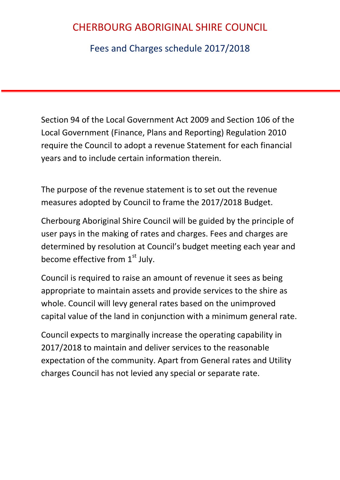Fees and Charges schedule 2017/2018

Section 94 of the Local Government Act 2009 and Section 106 of the Local Government (Finance, Plans and Reporting) Regulation 2010 require the Council to adopt a revenue Statement for each financial years and to include certain information therein.

The purpose of the revenue statement is to set out the revenue measures adopted by Council to frame the 2017/2018 Budget.

Cherbourg Aboriginal Shire Council will be guided by the principle of user pays in the making of rates and charges. Fees and charges are determined by resolution at Council's budget meeting each year and become effective from  $1<sup>st</sup>$  July.

Council is required to raise an amount of revenue it sees as being appropriate to maintain assets and provide services to the shire as whole. Council will levy general rates based on the unimproved capital value of the land in conjunction with a minimum general rate.

Council expects to marginally increase the operating capability in 2017/2018 to maintain and deliver services to the reasonable expectation of the community. Apart from General rates and Utility charges Council has not levied any special or separate rate.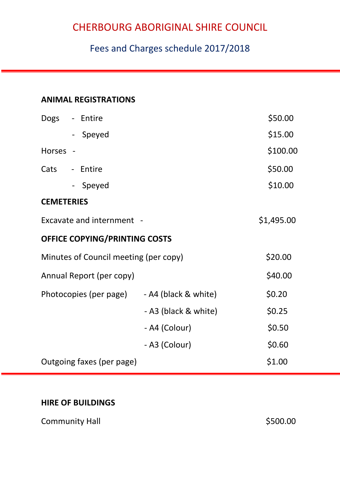### Fees and Charges schedule 2017/2018

### **ANIMAL REGISTRATIONS**

| Dogs                      | - Entire                              |                      | \$50.00    |  |
|---------------------------|---------------------------------------|----------------------|------------|--|
|                           | - Speyed                              |                      | \$15.00    |  |
| <b>Horses</b>             |                                       |                      | \$100.00   |  |
| Cats                      | - Entire                              |                      | \$50.00    |  |
|                           | Speyed<br>$\blacksquare$              |                      | \$10.00    |  |
| <b>CEMETERIES</b>         |                                       |                      |            |  |
|                           | Excavate and internment -             |                      | \$1,495.00 |  |
|                           | <b>OFFICE COPYING/PRINTING COSTS</b>  |                      |            |  |
|                           | Minutes of Council meeting (per copy) |                      | \$20.00    |  |
|                           | Annual Report (per copy)              |                      | \$40.00    |  |
|                           | Photocopies (per page)                | - A4 (black & white) | \$0.20     |  |
|                           |                                       | - A3 (black & white) | \$0.25     |  |
|                           |                                       | - A4 (Colour)        | \$0.50     |  |
|                           |                                       | - A3 (Colour)        | \$0.60     |  |
| Outgoing faxes (per page) |                                       |                      | \$1.00     |  |

#### **HIRE OF BUILDINGS**

Community Hall **Example 2018** S500.00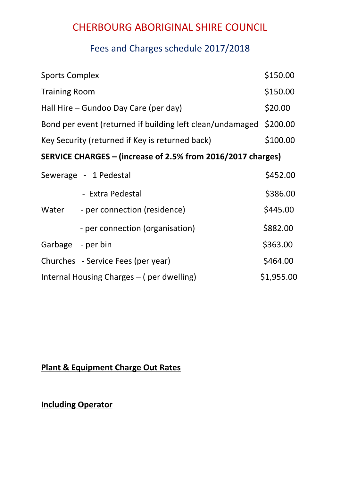### Fees and Charges schedule 2017/2018

| <b>Sports Complex</b>                                     |                                                             | \$150.00   |
|-----------------------------------------------------------|-------------------------------------------------------------|------------|
| <b>Training Room</b>                                      |                                                             | \$150.00   |
| Hall Hire – Gundoo Day Care (per day)                     |                                                             | \$20.00    |
| Bond per event (returned if building left clean/undamaged |                                                             |            |
| Key Security (returned if Key is returned back)           |                                                             | \$100.00   |
|                                                           | SERVICE CHARGES – (increase of 2.5% from 2016/2017 charges) |            |
| Sewerage - 1 Pedestal                                     |                                                             | \$452.00   |
|                                                           | - Extra Pedestal                                            | \$386.00   |
| Water                                                     | - per connection (residence)                                | \$445.00   |
|                                                           | - per connection (organisation)                             | \$882.00   |
| Garbage - per bin                                         |                                                             | \$363.00   |
|                                                           | Churches - Service Fees (per year)                          | \$464.00   |
| Internal Housing Charges – (per dwelling)                 |                                                             | \$1,955.00 |

### **Plant & Equipment Charge Out Rates**

**Including Operator**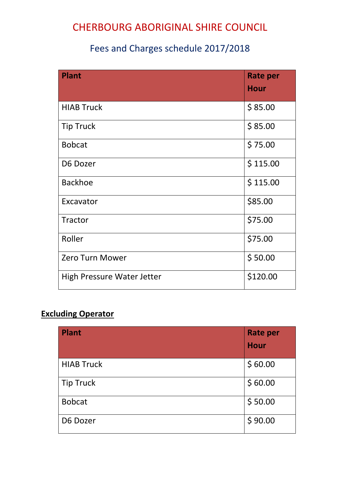### Fees and Charges schedule 2017/2018

| <b>Plant</b>               | <b>Rate per</b><br><b>Hour</b> |
|----------------------------|--------------------------------|
| <b>HIAB Truck</b>          | \$85.00                        |
| <b>Tip Truck</b>           | \$85.00                        |
| <b>Bobcat</b>              | \$75.00                        |
| D6 Dozer                   | \$115.00                       |
| <b>Backhoe</b>             | \$115.00                       |
| Excavator                  | \$85.00                        |
| <b>Tractor</b>             | \$75.00                        |
| Roller                     | \$75.00                        |
| <b>Zero Turn Mower</b>     | \$50.00                        |
| High Pressure Water Jetter | \$120.00                       |

### **Excluding Operator**

| <b>Plant</b>      | <b>Rate per</b> |  |
|-------------------|-----------------|--|
|                   | <b>Hour</b>     |  |
| <b>HIAB Truck</b> | \$60.00         |  |
| <b>Tip Truck</b>  | \$60.00         |  |
| <b>Bobcat</b>     | \$50.00         |  |
| D6 Dozer          | \$90.00         |  |